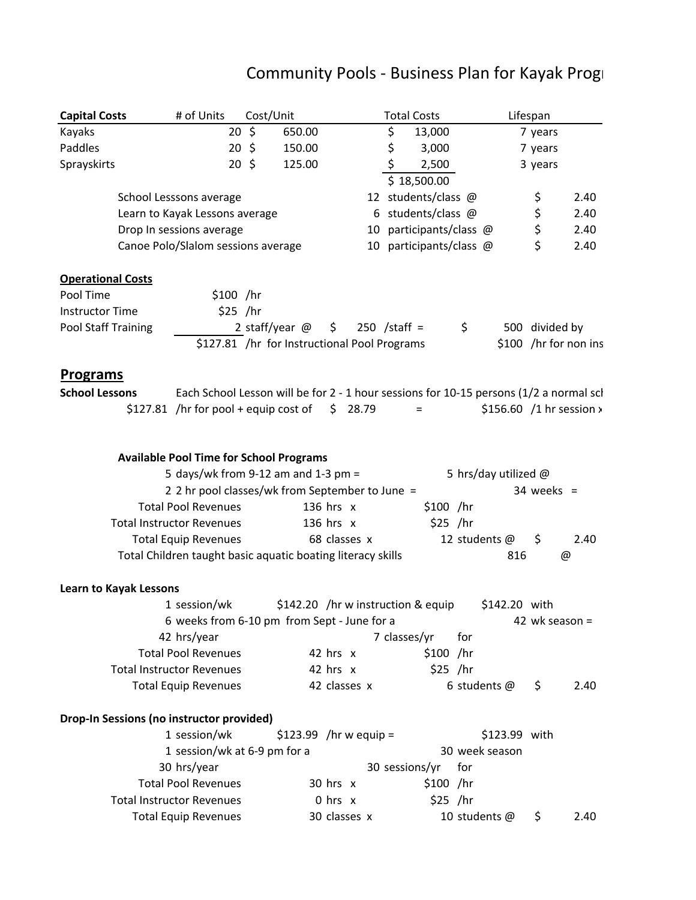## Community Pools ‐ Business Plan for Kayak Progr

| <b>Capital Costs</b>          | # of Units                                                                             | Cost/Unit        |                                                                  |              |              | <b>Total Costs</b> |                                  |                         |               | Lifespan       |                                 |
|-------------------------------|----------------------------------------------------------------------------------------|------------------|------------------------------------------------------------------|--------------|--------------|--------------------|----------------------------------|-------------------------|---------------|----------------|---------------------------------|
| Kayaks                        |                                                                                        | $20 \; \text{S}$ | 650.00                                                           |              |              | \$                 | 13,000                           |                         |               | 7 years        |                                 |
| Paddles                       | $20 \; \zeta$                                                                          |                  | 150.00                                                           |              |              | \$                 | 3,000                            |                         |               | 7 years        |                                 |
| Sprayskirts                   | 20 <sup>5</sup>                                                                        |                  | 125.00                                                           |              |              | \$                 | 2,500<br>$\overline{$}18,500.00$ |                         |               | 3 years        |                                 |
|                               | School Lesssons average                                                                |                  |                                                                  |              |              |                    | 12 students/class @              |                         |               | \$             | 2.40                            |
|                               | Learn to Kayak Lessons average                                                         |                  |                                                                  |              |              |                    | 6 students/class $@$             |                         |               | \$             | 2.40                            |
|                               | Drop In sessions average                                                               |                  |                                                                  |              |              |                    |                                  | 10 participants/class @ |               | \$             | 2.40                            |
|                               | Canoe Polo/Slalom sessions average                                                     |                  |                                                                  |              |              |                    |                                  | 10 participants/class @ |               | \$             | 2.40                            |
| <b>Operational Costs</b>      |                                                                                        |                  |                                                                  |              |              |                    |                                  |                         |               |                |                                 |
| Pool Time                     | $$100$ /hr                                                                             |                  |                                                                  |              |              |                    |                                  |                         |               |                |                                 |
| <b>Instructor Time</b>        | $$25$ /hr                                                                              |                  |                                                                  |              |              |                    |                                  |                         |               |                |                                 |
| Pool Staff Training           |                                                                                        |                  | 2 staff/year $@$<br>\$127.81 /hr for Instructional Pool Programs | \$.          |              | $250$ /staff =     |                                  | \$                      |               | 500 divided by | \$100 /hr for non ins           |
| <b>Programs</b>               |                                                                                        |                  |                                                                  |              |              |                    |                                  |                         |               |                |                                 |
| <b>School Lessons</b>         | Each School Lesson will be for 2 - 1 hour sessions for 10-15 persons (1/2 a normal scl |                  |                                                                  |              |              |                    |                                  |                         |               |                |                                 |
|                               | $$127.81$ /hr for pool + equip cost of                                                 |                  |                                                                  |              | \$28.79      | $=$                |                                  |                         |               |                | \$156.60 /1 hr session $\times$ |
|                               | <b>Available Pool Time for School Programs</b><br>5 days/wk from 9-12 am and 1-3 pm =  |                  |                                                                  |              |              |                    |                                  | 5 hrs/day utilized $@$  |               |                |                                 |
|                               | 2 2 hr pool classes/wk from September to June =                                        |                  |                                                                  |              |              |                    |                                  |                         |               | $34$ weeks =   |                                 |
|                               | <b>Total Pool Revenues</b>                                                             |                  |                                                                  | 136 hrs x    |              |                    | \$100 /hr                        |                         |               |                |                                 |
|                               | <b>Total Instructor Revenues</b>                                                       |                  |                                                                  | 136 hrs $x$  |              |                    | $$25$ /hr                        |                         |               |                |                                 |
|                               | <b>Total Equip Revenues</b>                                                            |                  |                                                                  |              | 68 classes x |                    |                                  | 12 students @           |               | \$             | 2.40                            |
|                               | Total Children taught basic aquatic boating literacy skills                            |                  |                                                                  |              |              |                    |                                  |                         | 816           |                | @                               |
| <b>Learn to Kayak Lessons</b> |                                                                                        |                  |                                                                  |              |              |                    |                                  |                         |               |                |                                 |
|                               | 1 session/wk                                                                           |                  | \$142.20 /hr w instruction & equip                               |              |              |                    |                                  |                         | \$142.20 with |                |                                 |
|                               | 6 weeks from 6-10 pm from Sept - June for a                                            |                  |                                                                  |              |              |                    |                                  |                         |               | 42 wk season = |                                 |
|                               | 42 hrs/year                                                                            |                  |                                                                  |              |              | 7 classes/yr       |                                  | for                     |               |                |                                 |
|                               | <b>Total Pool Revenues</b>                                                             |                  |                                                                  | 42 hrs x     |              |                    | $$100$ /hr                       |                         |               |                |                                 |
|                               | <b>Total Instructor Revenues</b>                                                       |                  |                                                                  | 42 hrs $x$   |              |                    | $$25$ /hr                        |                         |               |                |                                 |
|                               | <b>Total Equip Revenues</b>                                                            |                  |                                                                  |              | 42 classes x |                    |                                  | 6 students $@$          |               | \$             | 2.40                            |
|                               | Drop-In Sessions (no instructor provided)                                              |                  |                                                                  |              |              |                    |                                  |                         |               |                |                                 |
|                               | 1 session/wk                                                                           |                  | $$123.99$ /hr w equip =                                          |              |              |                    |                                  |                         | \$123.99 with |                |                                 |
|                               | 1 session/wk at 6-9 pm for a                                                           |                  |                                                                  |              |              |                    |                                  | 30 week season          |               |                |                                 |
|                               | 30 hrs/year                                                                            |                  |                                                                  |              |              | 30 sessions/yr     |                                  | for                     |               |                |                                 |
|                               | <b>Total Pool Revenues</b>                                                             |                  |                                                                  | $30$ hrs $x$ |              |                    | $$100$ /hr                       |                         |               |                |                                 |
|                               | <b>Total Instructor Revenues</b>                                                       |                  |                                                                  | $0$ hrs $x$  |              |                    | $$25$ /hr                        |                         |               |                |                                 |
|                               | <b>Total Equip Revenues</b>                                                            |                  |                                                                  |              | 30 classes x |                    |                                  | 10 students @           |               | \$             | 2.40                            |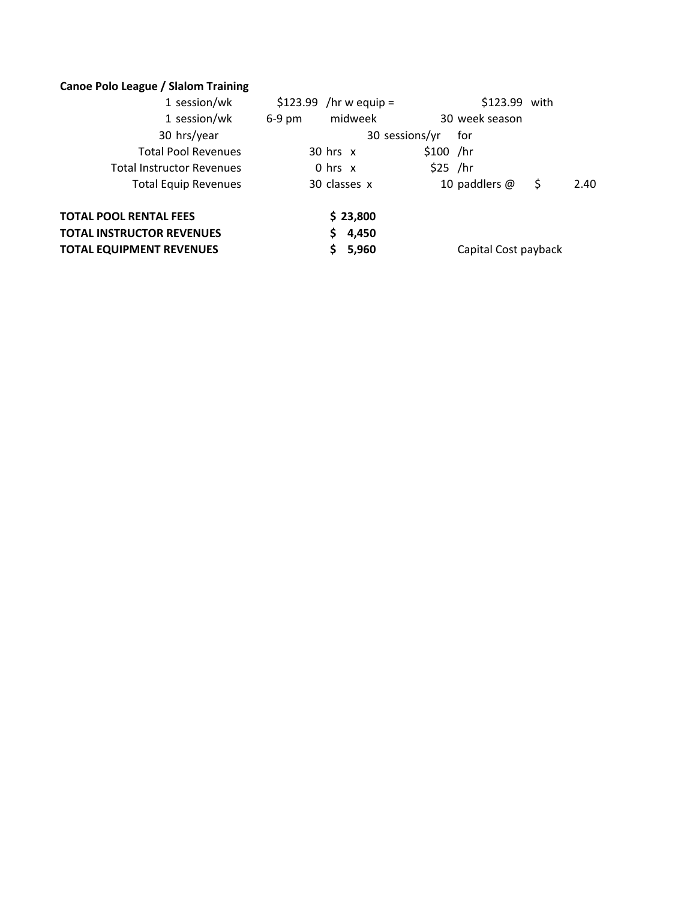## **Canoe Polo League / Slalom Training**

| $$123.99$ /hr w equip = | \$123.99 with                  |
|-------------------------|--------------------------------|
| midweek<br>$6-9$ pm     | 30 week season                 |
|                         | for                            |
| $30$ hrs $x$            | $$100$ /hr                     |
| $0$ hrs $x$             | $$25$ /hr                      |
| 30 classes x            | 10 paddlers $@$<br>\$.<br>2.40 |
| \$23,800                |                                |
| 4,450                   |                                |
| 5,960                   | Capital Cost payback           |
|                         | 30 sessions/yr                 |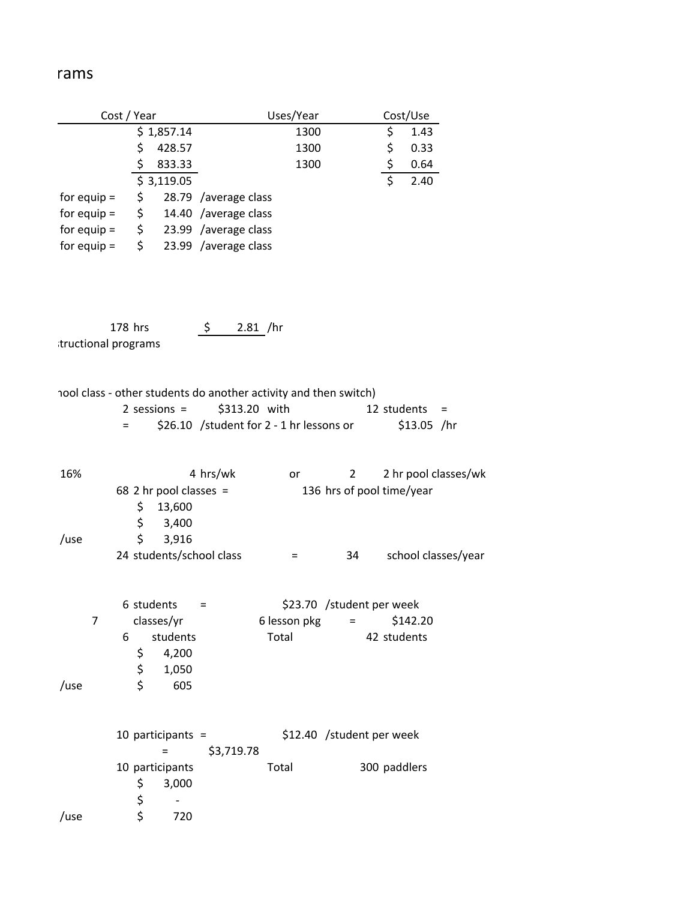## rams

| Cost / Year         |                                                                                                                                                 | Uses/Year                 | Cost/Use                           |  |  |
|---------------------|-------------------------------------------------------------------------------------------------------------------------------------------------|---------------------------|------------------------------------|--|--|
|                     | \$1,857.14                                                                                                                                      | 1300                      | \$<br>1.43                         |  |  |
|                     | \$<br>428.57                                                                                                                                    | 1300                      | 0.33                               |  |  |
|                     | \$<br>833.33                                                                                                                                    | 1300                      | $\frac{5}{5}$<br>0.64              |  |  |
|                     | \$<br>3,119.05                                                                                                                                  |                           | 2.40                               |  |  |
| for equip $=$       | \$<br>28.79 /average class                                                                                                                      |                           |                                    |  |  |
| for equip $=$       | \$<br>14.40 /average class                                                                                                                      |                           |                                    |  |  |
| for equip $=$       | \$ 23.99 /average class                                                                                                                         |                           |                                    |  |  |
| for equip $=$       | \$<br>23.99 /average class                                                                                                                      |                           |                                    |  |  |
| 178 hrs             | \$                                                                                                                                              | 2.81 /hr                  |                                    |  |  |
| tructional programs |                                                                                                                                                 |                           |                                    |  |  |
|                     |                                                                                                                                                 |                           |                                    |  |  |
| $=$                 | hool class - other students do another activity and then switch)<br>\$313.20 with<br>$2$ sessions =<br>\$26.10 /student for 2 - 1 hr lessons or |                           | 12 students<br>$=$<br>$$13.05$ /hr |  |  |
| 16%                 | 4 hrs/wk                                                                                                                                        | $\overline{2}$<br>or      | 2 hr pool classes/wk               |  |  |
|                     | 68 2 hr pool classes =                                                                                                                          | 136 hrs of pool time/year |                                    |  |  |
|                     | \$<br>13,600                                                                                                                                    |                           |                                    |  |  |
|                     | \$<br>3,400                                                                                                                                     |                           |                                    |  |  |
| /use                | \$<br>3,916                                                                                                                                     |                           |                                    |  |  |
|                     | 24 students/school class                                                                                                                        | 34<br>=                   | school classes/year                |  |  |
|                     |                                                                                                                                                 |                           |                                    |  |  |
|                     | 6 students<br>$=$                                                                                                                               | \$23.70 /student per week |                                    |  |  |
| 7                   | classes/yr                                                                                                                                      | 6 lesson pkg<br>$=$       | \$142.20                           |  |  |
| 6                   | students                                                                                                                                        | Total                     | 42 students                        |  |  |
|                     | \$<br>4,200                                                                                                                                     |                           |                                    |  |  |
|                     | \$<br>1,050                                                                                                                                     |                           |                                    |  |  |
| /use                | \$<br>605                                                                                                                                       |                           |                                    |  |  |
|                     | 10 participants $=$                                                                                                                             | \$12.40 /student per week |                                    |  |  |
|                     | \$3,719.78<br>$=$                                                                                                                               |                           |                                    |  |  |
|                     | 10 participants                                                                                                                                 | Total                     | 300 paddlers                       |  |  |
|                     | \$<br>3,000                                                                                                                                     |                           |                                    |  |  |
|                     | \$                                                                                                                                              |                           |                                    |  |  |
| /use                | \$<br>720                                                                                                                                       |                           |                                    |  |  |